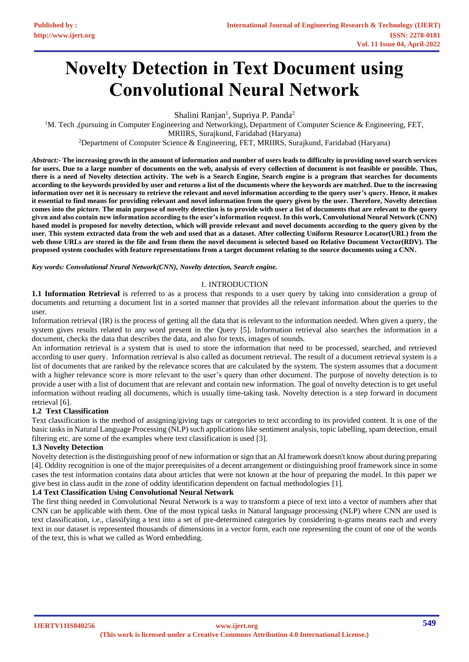# **Novelty Detection in Text Document using Convolutional Neural Network**

Shalini Ranjan<sup>1</sup>, Supriya P. Panda<sup>2</sup>

<sup>1</sup>M. Tech ,(pursuing in Computer Engineering and Networking), Department of Computer Science & Engineering, FET, MRIIRS, Surajkund, Faridabad (Haryana)

<sup>2</sup>Department of Computer Science & Engineering, FET, MRIIRS, Surajkund, Faridabad (Haryana)

*Abstract:-* **The increasing growth in the amount of information and number of users leads to difficulty in providing novel search services for users. Due to a large number of documents on the web, analysis of every collection of document is not feasible or possible. Thus, there is a need of Novelty detection activity. The web is a Search Engine, Search engine is a program that searches for documents according to the keywords provided by user and returns a list of the documents where the keywords are matched. Due to the increasing information over net it is necessary to retrieve the relevant and novel information according to the query user's query. Hence, it makes it essential to find means for providing relevant and novel information from the query given by the user. Therefore, Novelty detection comes into the picture. The main purpose of novelty detection is to provide with user a list of documents that are relevant to the query given and also contain new information according to the user's information request. In this work, Convolutional Neural Network (CNN) based model is proposed for novelty detection, which will provide relevant and novel documents according to the query given by the user. This system extracted data from the web and used that as a dataset. After collecting Uniform Resource Locator(URL) from the web those URLs are stored in the file and from them the novel document is selected based on Relative Document Vector(RDV). The proposed system concludes with feature representations from a target document relating to the source documents using a CNN.**

*Key words: Convolutional Neural Network(CNN), Novelty detection, Search engine.*

#### 1. INTRODUCTION

**1.1 Information Retrieval** is referred to as a process that responds to a user query by taking into consideration a group of documents and returning a document list in a sorted manner that provides all the relevant information about the queries to the user.

Information retrieval (IR) is the process of getting all the data that is relevant to the information needed. When given a query, the system gives results related to any word present in the Query [5]. Information retrieval also searches the information in a document, checks the data that describes the data, and also for texts, images of sounds.

An information retrieval is a system that is used to store the information that need to be processed, searched, and retrieved according to user query. Information retrieval is also called as document retrieval. The result of a document retrieval system is a list of documents that are ranked by the relevance scores that are calculated by the system. The system assumes that a document with a higher relevance score is more relevant to the user's query than other document. The purpose of novelty detection is to provide a user with a list of document that are relevant and contain new information. The goal of novelty detection is to get useful information without reading all documents, which is usually time-taking task. Novelty detection is a step forward in document retrieval [6].

# **1.2 Text Classification**

Text classification is the method of assigning/giving tags or categories to text according to its provided content. It is one of the basic tasks in Natural Language Processing (NLP) such applications like sentiment analysis, topic labelling, spam detection, email filtering etc. are some of the examples where text classification is used [3].

# **1.3 Novelty Detection**

Novelty detection is the distinguishing proof of new information or sign that an AI framework doesn't know about during preparing [4]. Oddity recognition is one of the major prerequisites of a decent arrangement or distinguishing proof framework since in some cases the test information contains data about articles that were not known at the hour of preparing the model. In this paper we give best in class audit in the zone of oddity identification dependent on factual methodologies [1].

# **1.4 Text Classification Using Convolutional Neural Network**

The first thing needed in Convolutional Neural Network is a way to transform a piece of text into a vector of numbers after that CNN can be applicable with them. One of the most typical tasks in Natural language processing (NLP) where CNN are used is text classification, i.e., classifying a text into a set of pre-determined categories by considering n-grams means each and every text in our dataset is represented thousands of dimensions in a vector form, each one representing the count of one of the words of the text, this is what we called as Word embedding.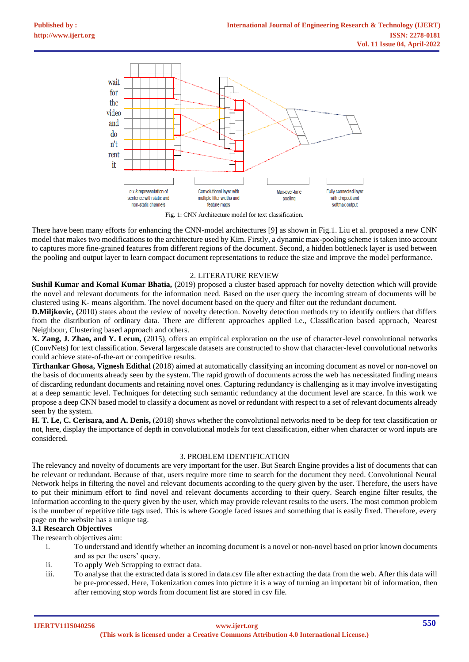

Fig. 1: CNN Architecture model for text classification.

There have been many efforts for enhancing the CNN-model architectures [9] as shown in Fig.1. Liu et al. proposed a new CNN model that makes two modifications to the architecture used by Kim. Firstly, a dynamic max-pooling scheme is taken into account to captures more fine-grained features from different regions of the document. Second, a hidden bottleneck layer is used between the pooling and output layer to learn compact document representations to reduce the size and improve the model performance.

# 2. LITERATURE REVIEW

**Sushil Kumar and Komal Kumar Bhatia,** (2019) proposed a cluster based approach for novelty detection which will provide the novel and relevant documents for the information need. Based on the user query the incoming stream of documents will be clustered using K- means algorithm. The novel document based on the query and filter out the redundant document.

**D.Miljkovic, (**2010) states about the review of novelty detection. Novelty detection methods try to identify outliers that differs from the distribution of ordinary data. There are different approaches applied i.e., Classification based approach, Nearest Neighbour, Clustering based approach and others.

**X. Zang, J. Zhao, and Y. Lecun,** (2015), offers an empirical exploration on the use of character-level convolutional networks (ConvNets) for text classification. Several largescale datasets are constructed to show that character-level convolutional networks could achieve state-of-the-art or competitive results.

**Tirthankar Ghosa, Vignesh Edithal** (2018) aimed at automatically classifying an incoming document as novel or non-novel on the basis of documents already seen by the system. The rapid growth of documents across the web has necessitated finding means of discarding redundant documents and retaining novel ones. Capturing redundancy is challenging as it may involve investigating at a deep semantic level. Techniques for detecting such semantic redundancy at the document level are scarce. In this work we propose a deep CNN based model to classify a document as novel or redundant with respect to a set of relevant documents already seen by the system.

**H. T. Le, C. Cerisara, and A. Denis,** (2018) shows whether the convolutional networks need to be deep for text classification or not, here, display the importance of depth in convolutional models for text classification, either when character or word inputs are considered.

# 3. PROBLEM IDENTIFICATION

The relevancy and novelty of documents are very important for the user. But Search Engine provides a list of documents that can be relevant or redundant. Because of that, users require more time to search for the document they need. Convolutional Neural Network helps in filtering the novel and relevant documents according to the query given by the user. Therefore, the users have to put their minimum effort to find novel and relevant documents according to their query. Search engine filter results, the information according to the query given by the user, which may provide relevant results to the users. The most common problem is the number of repetitive title tags used. This is where Google faced issues and something that is easily fixed. Therefore, every page on the website has a unique tag.

# **3.1 Research Objectives**

The research objectives aim:

- i. To understand and identify whether an incoming document is a novel or non-novel based on prior known documents and as per the users' query.
- ii. To apply Web Scrapping to extract data.
- iii. To analyse that the extracted data is stored in data.csv file after extracting the data from the web. After this data will be pre-processed. Here, Tokenization comes into picture it is a way of turning an important bit of information, then after removing stop words from document list are stored in csv file.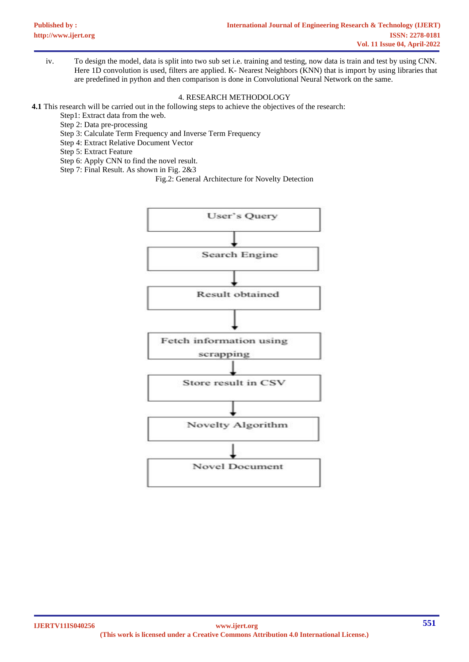iv. To design the model, data is split into two sub set i.e. training and testing, now data is train and test by using CNN. Here 1D convolution is used, filters are applied. K- Nearest Neighbors (KNN) that is import by using libraries that are predefined in python and then comparison is done in Convolutional Neural Network on the same.

#### 4. RESEARCH METHODOLOGY

**4.1** This research will be carried out in the following steps to achieve the objectives of the research:

- Step1: Extract data from the web.
- Step 2: Data pre-processing
- Step 3: Calculate Term Frequency and Inverse Term Frequency
- Step 4: Extract Relative Document Vector
- Step 5: Extract Feature
- Step 6: Apply CNN to find the novel result.
- Step 7: Final Result. As shown in Fig. 2&3

Fig.2: General Architecture for Novelty Detection

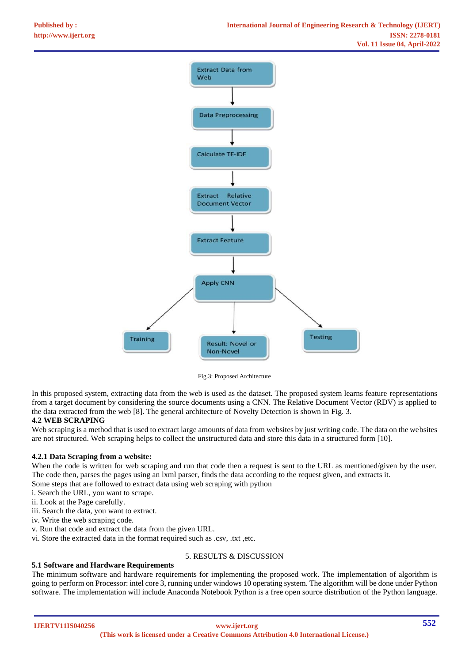

Fig.3: Proposed Architecture

In this proposed system, extracting data from the web is used as the dataset. The proposed system learns feature representations from a target document by considering the source documents using a CNN. The Relative Document Vector (RDV) is applied to the data extracted from the web [8]. The general architecture of Novelty Detection is shown in Fig. 3.

# **4.2 WEB SCRAPING**

Web scraping is a method that is used to extract large amounts of data from websites by just writing code. The data on the websites are not structured. Web scraping helps to collect the unstructured data and store this data in a structured form [10].

# **4.2.1 Data Scraping from a website:**

When the code is written for web scraping and run that code then a request is sent to the URL as mentioned/given by the user. The code then, parses the pages using an lxml parser, finds the data according to the request given, and extracts it.

Some steps that are followed to extract data using web scraping with python

- i. Search the URL, you want to scrape.
- ii. Look at the Page carefully.
- iii. Search the data, you want to extract.

iv. Write the web scraping code.

v. Run that code and extract the data from the given URL.

vi. Store the extracted data in the format required such as .csv, .txt ,etc.

# **5.1 Software and Hardware Requirements**

# 5. RESULTS & DISCUSSION

The minimum software and hardware requirements for implementing the proposed work. The implementation of algorithm is going to perform on Processor: intel core 3, running under windows 10 operating system. The algorithm will be done under Python software. The implementation will include Anaconda Notebook Python is a free open source distribution of the Python language.

**IJERTV11IS040256**